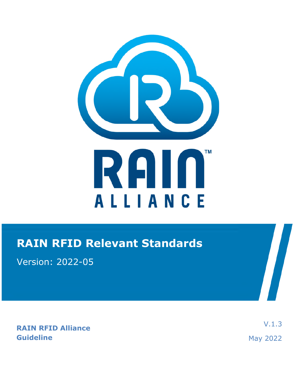

## **RAIN RFID Relevant Standards**

Version: 2022-05

**RAIN RFID Alliance Guideline** 

V.1.3 May 2022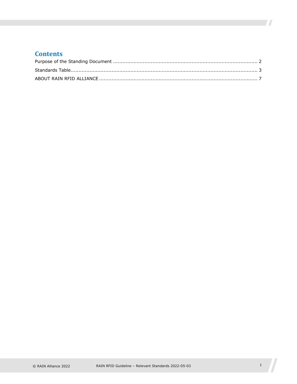#### **Contents**

 $\overline{\phantom{a}}$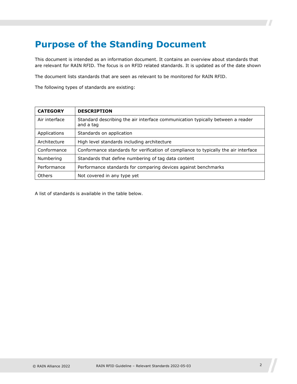## <span id="page-2-0"></span>**Purpose of the Standing Document**

This document is intended as an information document. It contains an overview about standards that are relevant for RAIN RFID. The focus is on RFID related standards. It is updated as of the date shown

The document lists standards that are seen as relevant to be monitored for RAIN RFID.

The following types of standards are existing:

| <b>CATEGORY</b> | <b>DESCRIPTION</b>                                                                          |
|-----------------|---------------------------------------------------------------------------------------------|
| Air interface   | Standard describing the air interface communication typically between a reader<br>and a tag |
| Applications    | Standards on application                                                                    |
| Architecture    | High level standards including architecture                                                 |
| Conformance     | Conformance standards for verification of compliance to typically the air interface         |
| Numbering       | Standards that define numbering of tag data content                                         |
| Performance     | Performance standards for comparing devices against benchmarks                              |
| Others          | Not covered in any type yet                                                                 |

A list of standards is available in the table below.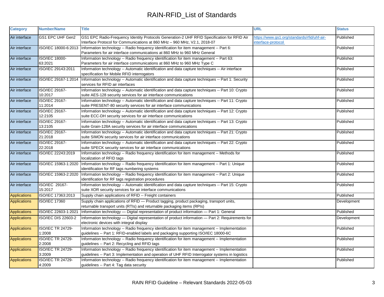| <b>Category</b>     | <b>Number/Name</b>                 | <b>Title</b>                                                                                                                                                                                       | <b>URL</b>                                                        | <b>Status</b> |
|---------------------|------------------------------------|----------------------------------------------------------------------------------------------------------------------------------------------------------------------------------------------------|-------------------------------------------------------------------|---------------|
| Air interface       | GS1 EPC UHF Gen2                   | GS1 EPC Radio-Frequency Identity Protocols Generation-2 UHF RFID Specification for RFID Air<br>Interface Protocol for Communications at 860 MHz - 960 MHz, V2.1, 2018-07                           | https://www.gs1.org/standards/rfid/uhf-air-<br>interface-protocol | Published     |
| Air interface       | ISO/IEC 18000-6:2013               | Information technology -- Radio frequency identification for item management -- Part 6:<br>Parameters for air interface communications at 860 MHz to 960 MHz General                               |                                                                   | Published     |
| Air interface       | <b>ISO/IEC 18000-</b><br>63:2021   | Information technology -- Radio frequency identification for item management -- Part 63:<br>Parameters for air interface communications at 860 MHz to 960 MHz Type C                               |                                                                   | Published     |
| Air interface       | ISO/IEC 29143:2011                 | Information technology -- Automatic identification and data capture techniques -- Air interface<br>specification for Mobile RFID interrogators                                                     |                                                                   | Published     |
| Air interface       | ISO/IEC 29167-1:2014               | Information technology -- Automatic identification and data capture techniques -- Part 1: Security<br>services for RFID air interfaces                                                             |                                                                   | Published     |
| Air interface       | ISO/IEC 29167-<br>10:2017          | Information technology -- Automatic identification and data capture techniques -- Part 10: Crypto<br>suite AES-128 security services for air interface communications                              |                                                                   | Published     |
| Air interface       | ISO/IEC 29167-<br>11:2014          | Information technology -- Automatic identification and data capture techniques -- Part 11: Crypto<br>suite PRESENT-80 security services for air interface communications                           |                                                                   | Published     |
| Air interface       | ISO/IEC 29167-<br>12:2105          | Information technology -- Automatic identification and data capture techniques -- Part 12: Crypto<br>suite ECC-DH security services for air interface communications                               |                                                                   | Published     |
| Air interface       | ISO/IEC 29167-<br>13:2105          | Information technology -- Automatic identification and data capture techniques -- Part 13: Crypto<br>suite Grain-128A security services for air interface communications                           |                                                                   | Published     |
| Air interface       | ISO/IEC 29167-<br>21:2018          | Information technology -- Automatic identification and data capture techniques -- Part 21: Crypto<br>suite SIMON security services for air interface communications                                |                                                                   | Published     |
| Air interface       | ISO/IEC 29167-<br>22:2018          | Information technology -- Automatic identification and data capture techniques -- Part 22: Crypto<br>suite SPECK security services for air interface communications                                |                                                                   | Published     |
| Air interface       | ISO/IEC 22243:2019                 | Information technology -- Radio frequency identification for item management -- Methods for<br>localization of RFID tags                                                                           |                                                                   | Published     |
| Air interface       | ISO/IEC 15963-1:2020               | Information technology -- Radio frequency identification for item management -- Part 1: Unique<br>identification for RF tags numbering systems                                                     |                                                                   | Published     |
| Air interface       | ISO/IEC 15963-2:2020               | Information technology -- Radio frequency identification for item management -- Part 2: Unique<br>identification for RF tags registration procedures                                               |                                                                   | Published     |
| Air interface       | ISO/IEC 29167-<br>15:2017          | Information technology -- Automatic identification and data capture techniques -- Part 15: Crypto<br>suite XOR security services for air interface communications                                  |                                                                   | Published     |
| <b>Applications</b> | ISO/IEC 17363:2013                 | Supply chain applications of RFID -- Freight containers                                                                                                                                            |                                                                   | Published     |
| <b>Applications</b> | <b>ISO/IEC 17360</b>               | Supply chain applications of RFID - Product tagging, product packaging, transport units,<br>returnable transport units (RTIs) and returnable packaging items (RPIs)                                |                                                                   | Development   |
| <b>Applications</b> | ISO/IEC 22603-1:2021               | Information technology - Digital representation of product information - Part 1: General                                                                                                           |                                                                   | Published     |
| <b>Applications</b> | <b>ISO/IEC DIS 22603-2</b>         | Information technology - Digital representation of product information - Part 2: Requirements for<br>electronic devices with integral display                                                      |                                                                   | Development   |
| <b>Applications</b> | <b>ISO/IEC TR 24729-</b><br>1:2008 | Information technology -- Radio frequency identification for item management -- Implementation<br>guidelines -- Part 1: RFID-enabled labels and packaging supporting ISO/IEC 18000-6C              |                                                                   | Published     |
| <b>Applications</b> | <b>ISO/IEC TR 24729-</b><br>2:2008 | Information technology -- Radio frequency identification for item management -- Implementation<br>guidelines -- Part 2: Recycling and RFID tags                                                    |                                                                   | Published     |
| <b>Applications</b> | <b>ISO/IEC TR 24729-</b><br>3:2009 | Information technology -- Radio frequency identification for item management -- Implementation<br>guidelines -- Part 3: Implementation and operation of UHF RFID Interrogator systems in logistics |                                                                   | Published     |
| <b>Applications</b> | <b>ISO/IEC TR 24729-</b><br>4:2009 | Information technology -- Radio frequency identification for item management -- Implementation<br>guidelines -- Part 4: Tag data security                                                          |                                                                   | Published     |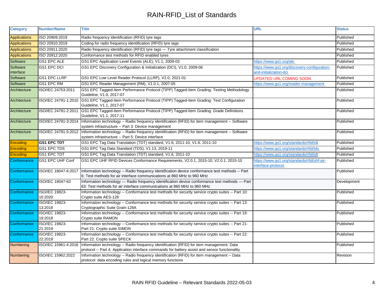| <b>Category</b>       | <b>Number/Name</b>               | <b>Title</b>                                                                                                                                                                                                     | <b>URL</b>                                                             | <b>Status</b> |
|-----------------------|----------------------------------|------------------------------------------------------------------------------------------------------------------------------------------------------------------------------------------------------------------|------------------------------------------------------------------------|---------------|
| <b>Applications</b>   | ISO 20909:2019                   | Radio frequency identification (RFID) tyre tags                                                                                                                                                                  |                                                                        | Published     |
| Applications          | ISO 20910:2019                   | Coding for radio frequency identification (RFID) tyre tags                                                                                                                                                       |                                                                        | Published     |
| Applications          | ISO 20911:2020                   | Radio frequency identification (RFID) tyre tags - Tyre attachment classification                                                                                                                                 |                                                                        | Published     |
| Applications          | ISO 20912:2020                   | Conformance test methods for RFID enabled tyres                                                                                                                                                                  |                                                                        | Published     |
| Software              | <b>GS1 EPC ALE</b>               | GS1 EPC Application Level Events (ALE), V1.1, 2009-03                                                                                                                                                            | https://www.gs1.org/ale                                                | Published     |
| Software<br>interface | <b>GS1 EPC DCI</b>               | GS1 EPC Discovery Configuration & Initialization (DCI), V1.0, 2009-06                                                                                                                                            | https://www.gs1.org/discovery-configuration-<br>and-initialization-dci | Published     |
| Software              | <b>GS1 EPC LLRP</b>              | GS1 EPC Low Level Reader Protocol (LLRP), V2.0, 2021-01                                                                                                                                                          | <b>UPDATED URL COMING SOON</b>                                         | Published     |
| Software              | GS1 EPC RM                       | GS1 EPC Reader Management (RM), V1.0.1, 2007-05                                                                                                                                                                  | https://www.gs1.org/reader-management                                  | Published     |
| Architecture          | ISO/IEC 24753:2011               | GS1 EPC Tagged-Item Performance Protocol (TIPP) Tagged-Item Grading: Testing Methodology<br>Guideline, V1.0, 2017-07                                                                                             |                                                                        | Published     |
| Architecture          | ISO/IEC 24791-1:2010             | GS1 EPC Tagged-Item Performance Protocol (TIPP) Tagged-Item Grading: Test Configuration<br>Guideline, V1.1, 2017-07                                                                                              |                                                                        | Published     |
| Architecture          | ISO/IEC 24791-2:2011             | GS1 EPC Tagged-Item Performance Protocol (TIPP) Tagged-Item Grading: Grade Definitions<br>Guideline, V1.1, 2017-11                                                                                               |                                                                        | Published     |
| Architecture          | ISO/IEC 24791-3:2014             | Information technology -- Radio frequency identification (RFID) for item management -- Software<br>system infrastructure -- Part 3: Device management                                                            |                                                                        | Published     |
| Architecture          | ISO/IEC 24791-5:2012             | Information technology -- Radio frequency identification (RFID) for item management -- Software<br>system infrastructure -- Part 5: Device interface                                                             |                                                                        | Published     |
| Encoding              | <b>GS1 EPC TDT</b>               | GS1 EPC Tag Data Translation (TDT) standard, V1.6, 2011-10, V1.6, 2011-10                                                                                                                                        | https://www.gs1.org/standards/rfid/tdt                                 | Published     |
| Encoding              | <b>GS1 EPC TDS</b>               | GS1 EPC Tag Data Standard (TDS), V1.13, 2019-11                                                                                                                                                                  | https://www.gs1.org/standards/rfid/tds                                 | Published     |
| Encoding              | <b>GS1 EPC TDT</b>               | GS1 EPC Tag Data Translation (TDT) standard, V1.6, 2011-10                                                                                                                                                       | https://www.gs1.org/standards/rfid/tdt                                 | Published     |
| Conformance           | GS1 EPC UHF Conf                 | GS1 EPC UHF RFID Devices Conformance Requirements, V2.0.1, 2015-10, V2.0.1, 2015-10                                                                                                                              | https://www.gs1.org/standards/rfid/uhf-air-<br>nterface-protocol       | Published     |
| Conformance           | ISO/IEC 18047-6:2017             | Information technology -- Radio frequency identification device conformance test methods -- Part<br>6: Test methods for air interface communications at 860 MHz to 960 MHz                                       |                                                                        | Published     |
| Conformance           | ISO/IEC 18047-63                 | Information technology - Radio frequency identification device conformance test methods - Part<br>63: Test methods for air interface communications at 860 MHz to 960 MHz                                        |                                                                        | Development   |
| Conformance           | <b>ISO/IEC 19823-</b><br>10:2020 | Information technology -- Conformance test methods for security service crypto suites -- Part 10:<br>Crypto suite AES-128                                                                                        |                                                                        | Published     |
| Conformance           | ISO/IEC 19823-<br>13:2018        | Information technology -- Conformance test methods for security service crypto suites -- Part 13:<br>Cryptographic Suite Grain-128A                                                                              |                                                                        | Published     |
| Conformance           | <b>ISO/IEC 19823-</b><br>19:2018 | Information technology -- Conformance test methods for security service crypto suites -- Part 19:<br>Crypto suite RAMON                                                                                          |                                                                        | Published     |
| Conformance           | ISO/IEC 19823-<br>21:2019        | Information technology -- Conformance test methods for security service crypto suites -- Part 21:<br>Part 21: Crypto suite SIMON                                                                                 |                                                                        | Published     |
| Conformance           | ISO/IEC 19823-<br>22:2019        | Information technology -- Conformance test methods for security service crypto suites -- Part 22:<br>Part 22: Crypto suite SPECK                                                                                 |                                                                        | Published     |
| Numbering             |                                  | ISO/IEC 15961-4:2016 Information technology -- Radio frequency identification (RFID) for item management: Data<br>protocol -- Part 4: Application interface commands for battery assist and sensor functionality |                                                                        | Published     |
| <b>Numbering</b>      | ISO/IEC 15962:2022               | Information technology -- Radio frequency identification (RFID) for item management -- Data<br>protocol: data encoding rules and logical memory functions                                                        |                                                                        | Revision      |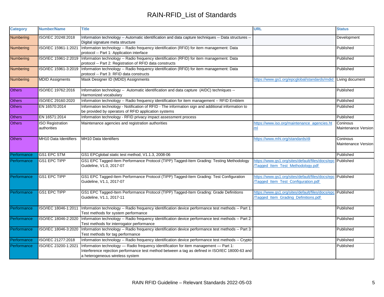| <b>Category</b>  | <b>Number/Name</b>      | Title                                                                                                                                                                                                                       | <b>URL</b>                                                                                        | <b>Status</b>                   |
|------------------|-------------------------|-----------------------------------------------------------------------------------------------------------------------------------------------------------------------------------------------------------------------------|---------------------------------------------------------------------------------------------------|---------------------------------|
| Numbering        | ISO/IEC 20248:2018      | Information technology -- Automatic identification and data capture techniques -- Data structures --<br>Digital signature meta structure                                                                                    |                                                                                                   | Development                     |
| <b>Numbering</b> | ISO/IEC 15961-1:2021    | Information technology -- Radio frequency identification (RFID) for item management: Data<br>protocol -- Part 1: Application interface                                                                                      |                                                                                                   | Published                       |
| Numbering        | ISO/IEC 15961-2:2019    | Information technology -- Radio frequency identification (RFID) for item management: Data<br>protocol -- Part 2: Registration of RFID data constructs                                                                       |                                                                                                   | Published                       |
| <b>Numbering</b> | ISO/IEC 15961-3:2019    | Information technology -- Radio frequency identification (RFID) for item management: Data<br>protocol -- Part 3: RFID data constructs                                                                                       |                                                                                                   | Published                       |
| Numbering        | <b>MDID Assigments</b>  | Mask Designer ID (MDID) Assignments                                                                                                                                                                                         | https://www.gs1.org/epcglobal/standards/mdid                                                      | Living document                 |
| Others           | ISO/IEC 19762:2016      | Information technology -- Automatic identification and data capture (AIDC) techniques --<br>Harmonized vocabulary                                                                                                           |                                                                                                   | Published                       |
| <b>Others</b>    | ISO/IEC 29160:2020      | Information technology -- Radio frequency identification for item management -- RFID Emblem                                                                                                                                 |                                                                                                   | Published                       |
| <b>Others</b>    | EN 16570:2014           | Information technology - Notification of RFID - The information sign and additional information to<br>be provided by operators of RFID application systems                                                                  |                                                                                                   | Published                       |
| <b>Others</b>    | EN 16571:2014           | Information technology - RFID privacy impact assessment process                                                                                                                                                             |                                                                                                   | Published                       |
| <b>Others</b>    | <b>ISO Registration</b> | Maintenance agencies and registration authorities                                                                                                                                                                           | https://www.iso.org/maintenance_agencies.ht                                                       | Coninous                        |
|                  | authorities             |                                                                                                                                                                                                                             | ml                                                                                                | Maintenance Version             |
| <b>Others</b>    | MH10 Data Identifiers   | MH10 Data Identifiers                                                                                                                                                                                                       | https://www.mhi.org/standards/di                                                                  | Coninous<br>Maintenance Version |
| Performance      | <b>GS1 EPC STM</b>      | GS1 EPCglobal static test method, V1.1.3, 2008-06                                                                                                                                                                           |                                                                                                   | Published                       |
| Performance      | <b>GS1 EPC TIPP</b>     | GS1 EPC Tagged-Item Performance Protocol (TIPP) Tagged-Item Grading: Testing Methodology<br>Guideline, V1.0, 2017-07                                                                                                        | https://www.gs1.org/sites/default/files/docs/epc<br>Tagged_Item_Test_Methodology.pdf              | Published                       |
| Performance      | <b>GS1 EPC TIPP</b>     | GS1 EPC Tagged-Item Performance Protocol (TIPP) Tagged-Item Grading: Test Configuration<br>Guideline, V1.1, 2017-07                                                                                                         | https://www.gs1.org/sites/default/files/docs/epc Published<br>Tagged_Item_Test_Configuration.pdf  |                                 |
| Performance      | <b>GS1 EPC TIPP</b>     | GS1 EPC Tagged-Item Performance Protocol (TIPP) Tagged-Item Grading: Grade Definitions<br>Guideline, V1.1, 2017-11                                                                                                          | https://www.gs1.org/sites/default/files/docs/epc Published<br>Tagged_Item_Grading_Definitions.pdf |                                 |
| Performance      | ISO/IEC 18046-1:2011    | Information technology -- Radio frequency identification device performance test methods -- Part 1:<br>Test methods for system performance                                                                                  |                                                                                                   | Published                       |
| Performance      | ISO/IEC 18046-2:2020    | Information technology -- Radio frequency identification device performance test methods -- Part 2:<br>Test methods for interrogator performance                                                                            |                                                                                                   | Published                       |
| Performance      | ISO/IEC 18046-3:2020    | Information technology -- Radio frequency identification device performance test methods -- Part 3:<br>Test methods for tag performance                                                                                     |                                                                                                   | Published                       |
| Performance      | ISO/IEC 21277:2018      | Information technology -- Radio frequency identification device performance test methods -- Crypto                                                                                                                          |                                                                                                   | Published                       |
| Performance      | ISO/IEC 23200-1:2021    | Information technology - Radio frequency identification for item management - Part 1:<br>Interference rejection performance test method between a tag as defined in ISO/IEC 18000-63 and<br>a heterogeneous wireless system |                                                                                                   | Published                       |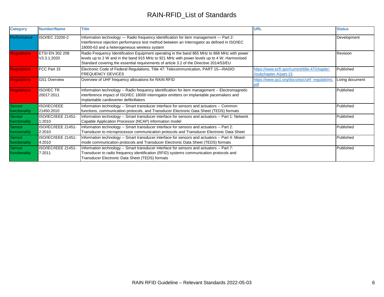| <b>Category</b>         | <b>Number/Name</b>                    | <b>Title</b>                                                                                                                                                                                                                                                                           | <b>URL</b>                                                               | <b>Status</b>   |
|-------------------------|---------------------------------------|----------------------------------------------------------------------------------------------------------------------------------------------------------------------------------------------------------------------------------------------------------------------------------------|--------------------------------------------------------------------------|-----------------|
| Performance             | ISO/IEC 23200-2                       | Information technology — Radio frequency identification for item management — Part 2:<br>Interference rejection performance test method between an Interrogator as defined in ISO/IEC<br>18000-63 and a heterogeneous wireless system                                                  |                                                                          | Development     |
| <b>Regulations</b>      | <b>ETSI EN 302 208</b><br>V3.3.1:2020 | Radio Frequency Identification Equipment operating in the band 865 MHz to 868 MHz with power<br>levels up to 2 W and in the band 915 MHz to 921 MHz with power levels up to 4 W; Harmonised<br>Standard covering the essential requirements of article 3.2 of the Directive 2014/53/EU |                                                                          | Revision        |
| <b>Regulations</b>      | FCC Part 15                           | Electronic Code of Federal Regulations, Title 47: Telecommunication, PART 15-RADIO<br><b>FREQUENCY DEVICES</b>                                                                                                                                                                         | https://www.ecfr.gov/current/title-47/chapter-<br>I/subchapter-A/part-15 | Published       |
| <b>Regulations</b>      | <b>GS1 Overview</b>                   | Overview of UHF frequency allocations for RAIN RFID                                                                                                                                                                                                                                    | https://www.gs1.org/docs/epc/uhf_regulations.<br>pdf                     | Living document |
| <b>Regulations</b>      | <b>ISO/IEC TR</b><br>20017:2011       | Information technology -- Radio frequency identification for item management -- Electromagnetic<br>interference impact of ISO/IEC 18000 interrogator emitters on implantable pacemakers and<br>implantable cardioverter defibrillators                                                 |                                                                          | Published       |
| Sensor<br>functionality | ISO/IEC/IEEE<br>21450:2010            | Information technology -- Smart transducer interface for sensors and actuators -- Common<br>functions, communication protocols, and Transducer Electronic Data Sheet (TEDS) formats                                                                                                    |                                                                          | Published       |
| Sensor<br>functionality | ISO/IEC/IEEE 21451-<br>1:2010         | Information technology -- Smart transducer interface for sensors and actuators -- Part 1: Network<br>Capable Application Processor (NCAP) information model                                                                                                                            |                                                                          | Published       |
| Sensor<br>functionality | ISO/IEC/IEEE 21451-<br>2:2010         | Information technology -- Smart transducer interface for sensors and actuators -- Part 2:<br>Transducer to microprocessor communication protocols and Transducer Electronic Data Sheet                                                                                                 |                                                                          | Published       |
| Sensor<br>functionality | ISO/IEC/IEEE 21451-<br>4:2010         | Information technology -- Smart transducer interface for sensors and actuators -- Part 4: Mixed-<br>mode communication protocols and Transducer Electronic Data Sheet (TEDS) formats                                                                                                   |                                                                          | Published       |
| Sensor<br>functionality | ISO/IEC/IEEE 21451-<br>7.2011         | Information technology -- Smart transducer interface for sensors and actuators -- Part 7:<br>Transducer to radio frequency identification (RFID) systems communication protocols and<br>Transducer Electronic Data Sheet (TEDS) formats                                                |                                                                          | Published       |